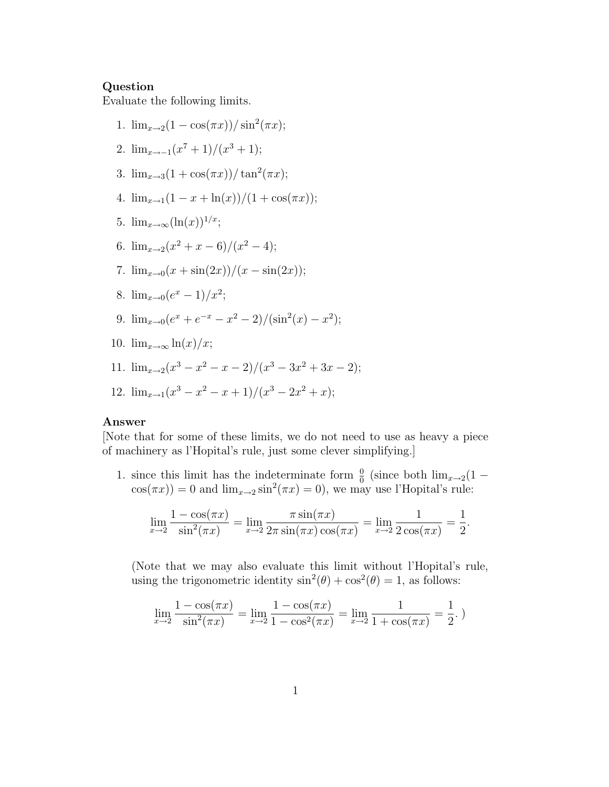## Question

Evaluate the following limits.

1.  $\lim_{x\to 2}(1-\cos(\pi x))/\sin^2(\pi x);$ 2.  $\lim_{x \to -1} (x^7 + 1)/(x^3 + 1);$ 3.  $\lim_{x\to 3}(1+\cos(\pi x))/\tan^2(\pi x);$ 4.  $\lim_{x\to 1}(1-x+\ln(x))/(1+\cos(\pi x));$ 5.  $\lim_{x\to\infty}(\ln(x))^{1/x}$ ; 6.  $\lim_{x\to 2}(x^2+x-6)/(x^2-4);$ 7.  $\lim_{x\to 0} (x + \sin(2x))/(x - \sin(2x));$ 8.  $\lim_{x\to 0} (e^x - 1)/x^2;$ 9.  $\lim_{x\to 0} (e^x + e^{-x} - x^2 - 2) / (\sin^2(x) - x^2);$ 10.  $\lim_{x\to\infty} \ln(x)/x$ ; 11.  $\lim_{x\to 2}(x^3 - x^2 - x - 2)/(x^3 - 3x^2 + 3x - 2);$ 12.  $\lim_{x\to 1}(x^3 - x^2 - x + 1)/(x^3 - 2x^2 + x);$ 

## Answer

[Note that for some of these limits, we do not need to use as heavy a piece of machinery as l'Hopital's rule, just some clever simplifying.]

1. since this limit has the indeterminate form  $\frac{0}{0}$  (since both  $\lim_{x\to 2}(1-\frac{1}{x})$  $cos(\pi x) = 0$  and  $lim_{x\to 2} sin^2(\pi x) = 0$ , we may use l'Hopital's rule:

$$
\lim_{x \to 2} \frac{1 - \cos(\pi x)}{\sin^2(\pi x)} = \lim_{x \to 2} \frac{\pi \sin(\pi x)}{2\pi \sin(\pi x) \cos(\pi x)} = \lim_{x \to 2} \frac{1}{2\cos(\pi x)} = \frac{1}{2}.
$$

(Note that we may also evaluate this limit without l'Hopital's rule, using the trigonometric identity  $\sin^2(\theta) + \cos^2(\theta) = 1$ , as follows:

$$
\lim_{x \to 2} \frac{1 - \cos(\pi x)}{\sin^2(\pi x)} = \lim_{x \to 2} \frac{1 - \cos(\pi x)}{1 - \cos^2(\pi x)} = \lim_{x \to 2} \frac{1}{1 + \cos(\pi x)} = \frac{1}{2}.
$$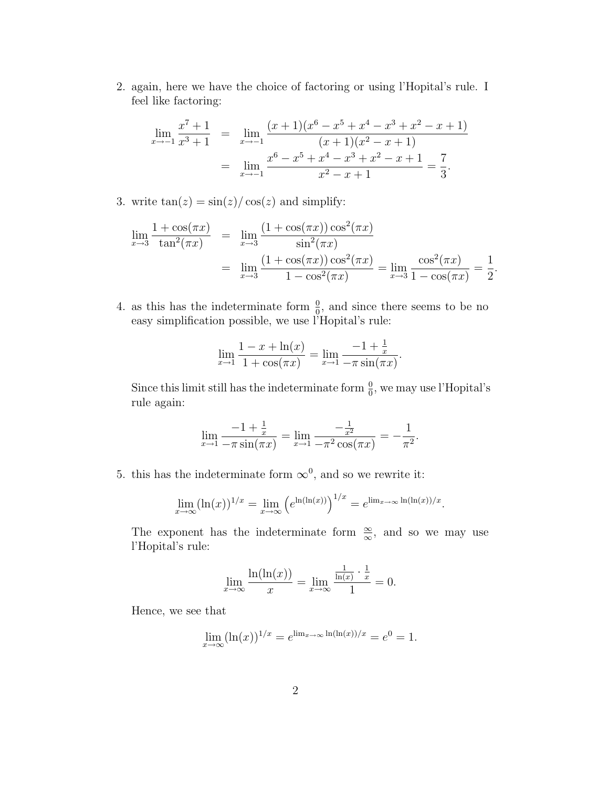2. again, here we have the choice of factoring or using l'Hopital's rule. I feel like factoring:

$$
\lim_{x \to -1} \frac{x^7 + 1}{x^3 + 1} = \lim_{x \to -1} \frac{(x+1)(x^6 - x^5 + x^4 - x^3 + x^2 - x + 1)}{(x+1)(x^2 - x + 1)}
$$

$$
= \lim_{x \to -1} \frac{x^6 - x^5 + x^4 - x^3 + x^2 - x + 1}{x^2 - x + 1} = \frac{7}{3}.
$$

3. write  $tan(z) = sin(z)/cos(z)$  and simplify:

$$
\lim_{x \to 3} \frac{1 + \cos(\pi x)}{\tan^2(\pi x)} = \lim_{x \to 3} \frac{(1 + \cos(\pi x)) \cos^2(\pi x)}{\sin^2(\pi x)} \n= \lim_{x \to 3} \frac{(1 + \cos(\pi x)) \cos^2(\pi x)}{1 - \cos^2(\pi x)} = \lim_{x \to 3} \frac{\cos^2(\pi x)}{1 - \cos(\pi x)} = \frac{1}{2}.
$$

4. as this has the indeterminate form  $\frac{0}{0}$ , and since there seems to be no easy simplification possible, we use l'Hopital's rule:

$$
\lim_{x \to 1} \frac{1 - x + \ln(x)}{1 + \cos(\pi x)} = \lim_{x \to 1} \frac{-1 + \frac{1}{x}}{-\pi \sin(\pi x)}.
$$

Since this limit still has the indeterminate form  $\frac{0}{0}$ , we may use l'Hopital's rule again:

$$
\lim_{x \to 1} \frac{-1 + \frac{1}{x}}{-\pi \sin(\pi x)} = \lim_{x \to 1} \frac{-\frac{1}{x^2}}{-\pi^2 \cos(\pi x)} = -\frac{1}{\pi^2}.
$$

5. this has the indeterminate form  $\infty^0$ , and so we rewrite it:

$$
\lim_{x \to \infty} (\ln(x))^{1/x} = \lim_{x \to \infty} \left( e^{\ln(\ln(x))} \right)^{1/x} = e^{\lim_{x \to \infty} \ln(\ln(x))/x}.
$$

The exponent has the indeterminate form  $\frac{\infty}{\infty}$ , and so we may use l'Hopital's rule:

$$
\lim_{x \to \infty} \frac{\ln(\ln(x))}{x} = \lim_{x \to \infty} \frac{\frac{1}{\ln(x)} \cdot \frac{1}{x}}{1} = 0.
$$

Hence, we see that

$$
\lim_{x \to \infty} (\ln(x))^{1/x} = e^{\lim_{x \to \infty} \ln(\ln(x))/x} = e^0 = 1.
$$